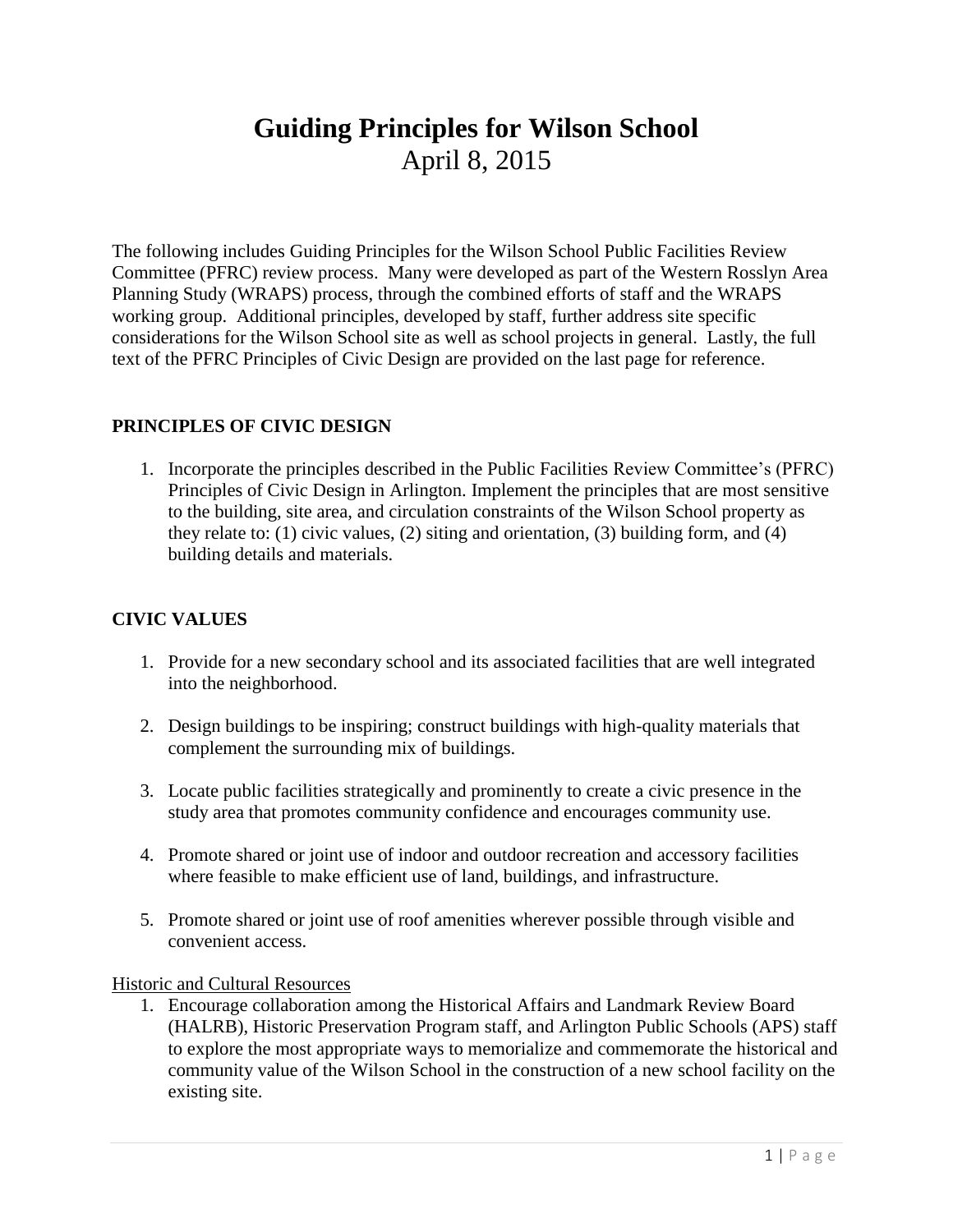# **Guiding Principles for Wilson School** April 8, 2015

The following includes Guiding Principles for the Wilson School Public Facilities Review Committee (PFRC) review process. Many were developed as part of the Western Rosslyn Area Planning Study (WRAPS) process, through the combined efforts of staff and the WRAPS working group. Additional principles, developed by staff, further address site specific considerations for the Wilson School site as well as school projects in general. Lastly, the full text of the PFRC Principles of Civic Design are provided on the last page for reference.

# **PRINCIPLES OF CIVIC DESIGN**

1. Incorporate the principles described in the Public Facilities Review Committee's (PFRC) Principles of Civic Design in Arlington. Implement the principles that are most sensitive to the building, site area, and circulation constraints of the Wilson School property as they relate to: (1) civic values, (2) siting and orientation, (3) building form, and (4) building details and materials.

# **CIVIC VALUES**

- 1. Provide for a new secondary school and its associated facilities that are well integrated into the neighborhood.
- 2. Design buildings to be inspiring; construct buildings with high-quality materials that complement the surrounding mix of buildings.
- 3. Locate public facilities strategically and prominently to create a civic presence in the study area that promotes community confidence and encourages community use.
- 4. Promote shared or joint use of indoor and outdoor recreation and accessory facilities where feasible to make efficient use of land, buildings, and infrastructure.
- 5. Promote shared or joint use of roof amenities wherever possible through visible and convenient access.

#### Historic and Cultural Resources

1. Encourage collaboration among the Historical Affairs and Landmark Review Board (HALRB), Historic Preservation Program staff, and Arlington Public Schools (APS) staff to explore the most appropriate ways to memorialize and commemorate the historical and community value of the Wilson School in the construction of a new school facility on the existing site.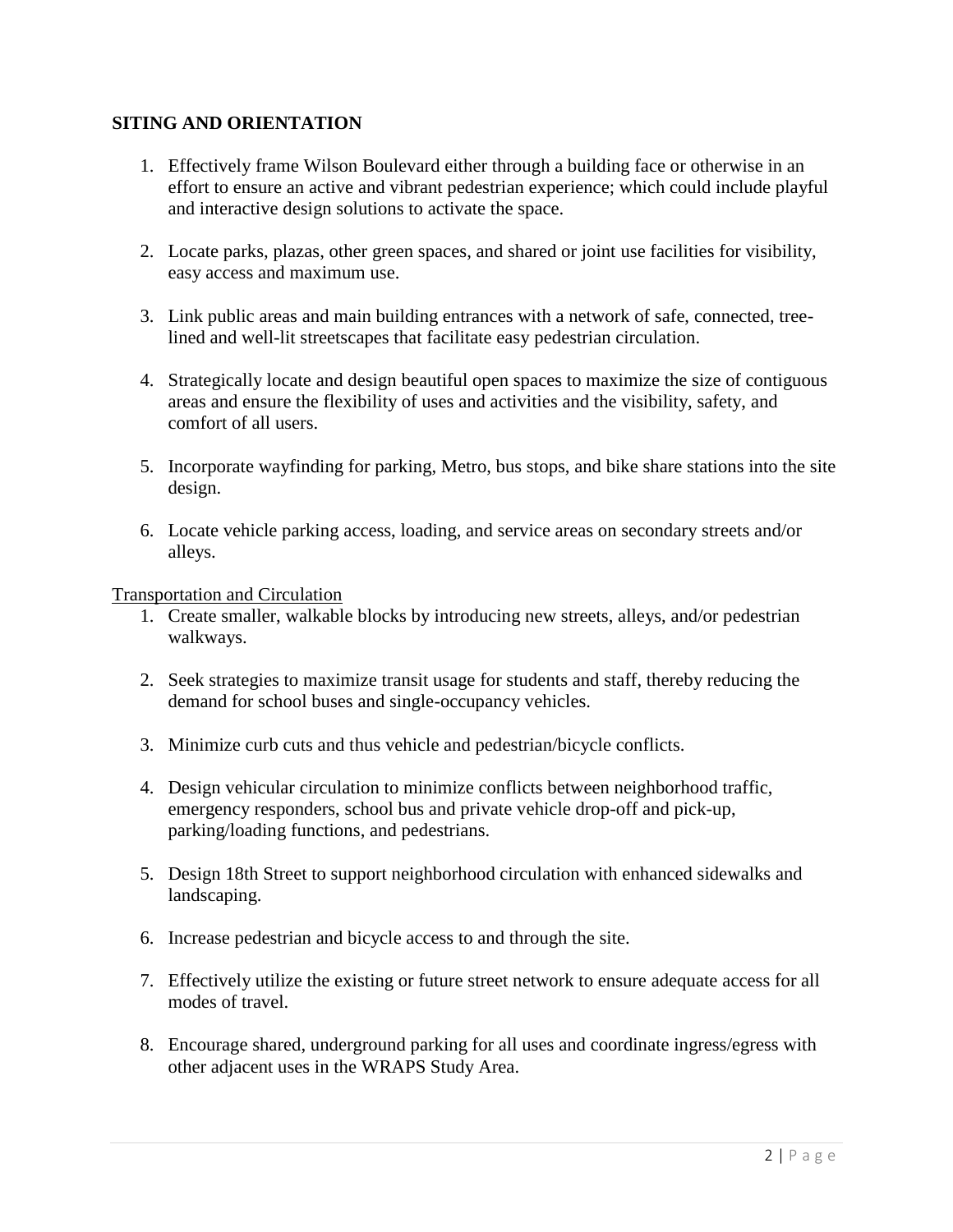### **SITING AND ORIENTATION**

- 1. Effectively frame Wilson Boulevard either through a building face or otherwise in an effort to ensure an active and vibrant pedestrian experience; which could include playful and interactive design solutions to activate the space.
- 2. Locate parks, plazas, other green spaces, and shared or joint use facilities for visibility, easy access and maximum use.
- 3. Link public areas and main building entrances with a network of safe, connected, treelined and well-lit streetscapes that facilitate easy pedestrian circulation.
- 4. Strategically locate and design beautiful open spaces to maximize the size of contiguous areas and ensure the flexibility of uses and activities and the visibility, safety, and comfort of all users.
- 5. Incorporate wayfinding for parking, Metro, bus stops, and bike share stations into the site design.
- 6. Locate vehicle parking access, loading, and service areas on secondary streets and/or alleys.

Transportation and Circulation

- 1. Create smaller, walkable blocks by introducing new streets, alleys, and/or pedestrian walkways.
- 2. Seek strategies to maximize transit usage for students and staff, thereby reducing the demand for school buses and single-occupancy vehicles.
- 3. Minimize curb cuts and thus vehicle and pedestrian/bicycle conflicts.
- 4. Design vehicular circulation to minimize conflicts between neighborhood traffic, emergency responders, school bus and private vehicle drop-off and pick-up, parking/loading functions, and pedestrians.
- 5. Design 18th Street to support neighborhood circulation with enhanced sidewalks and landscaping.
- 6. Increase pedestrian and bicycle access to and through the site.
- 7. Effectively utilize the existing or future street network to ensure adequate access for all modes of travel.
- 8. Encourage shared, underground parking for all uses and coordinate ingress/egress with other adjacent uses in the WRAPS Study Area.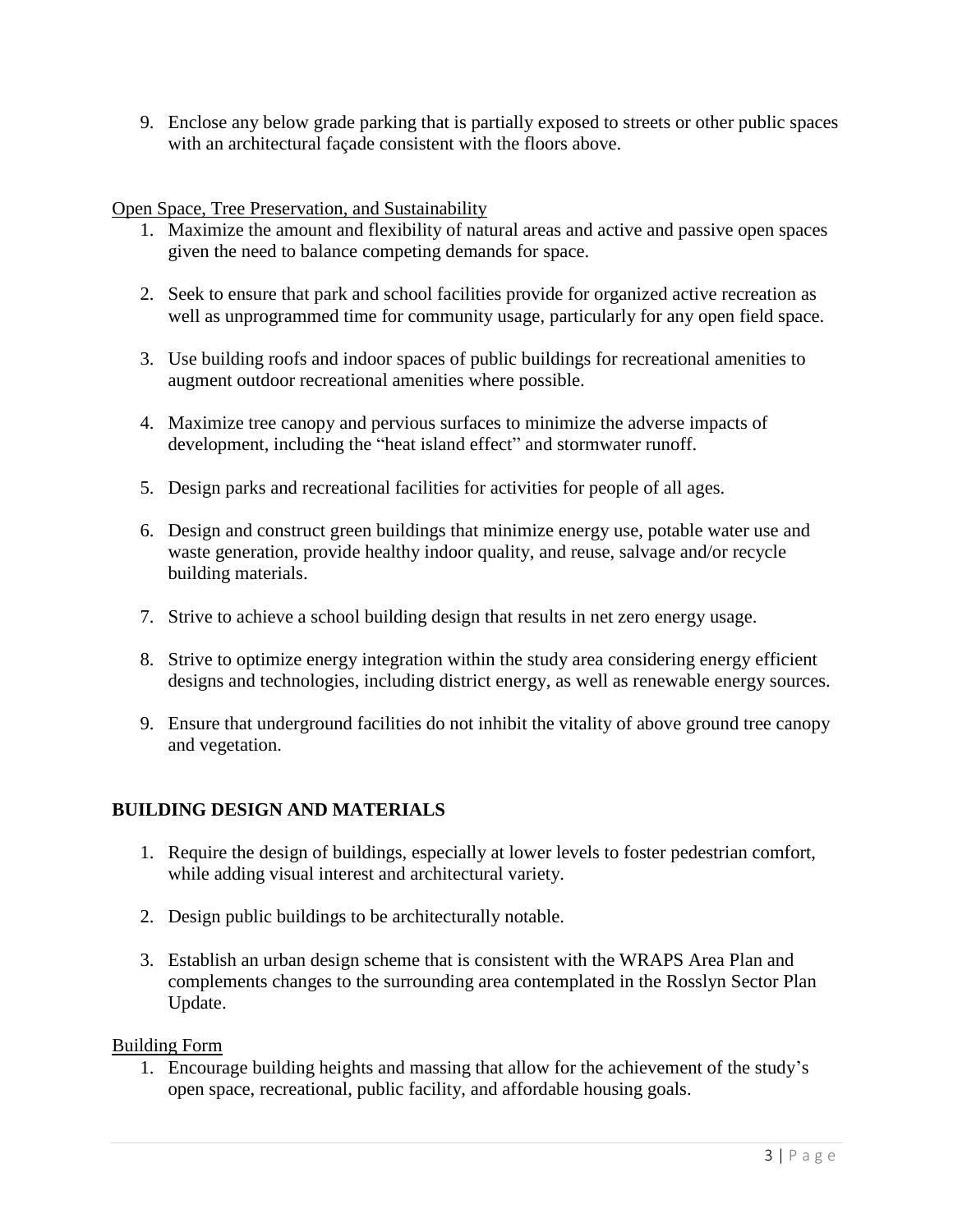9. Enclose any below grade parking that is partially exposed to streets or other public spaces with an architectural façade consistent with the floors above.

Open Space, Tree Preservation, and Sustainability

- 1. Maximize the amount and flexibility of natural areas and active and passive open spaces given the need to balance competing demands for space.
- 2. Seek to ensure that park and school facilities provide for organized active recreation as well as unprogrammed time for community usage, particularly for any open field space.
- 3. Use building roofs and indoor spaces of public buildings for recreational amenities to augment outdoor recreational amenities where possible.
- 4. Maximize tree canopy and pervious surfaces to minimize the adverse impacts of development, including the "heat island effect" and stormwater runoff.
- 5. Design parks and recreational facilities for activities for people of all ages.
- 6. Design and construct green buildings that minimize energy use, potable water use and waste generation, provide healthy indoor quality, and reuse, salvage and/or recycle building materials.
- 7. Strive to achieve a school building design that results in net zero energy usage.
- 8. Strive to optimize energy integration within the study area considering energy efficient designs and technologies, including district energy, as well as renewable energy sources.
- 9. Ensure that underground facilities do not inhibit the vitality of above ground tree canopy and vegetation.

# **BUILDING DESIGN AND MATERIALS**

- 1. Require the design of buildings, especially at lower levels to foster pedestrian comfort, while adding visual interest and architectural variety.
- 2. Design public buildings to be architecturally notable.
- 3. Establish an urban design scheme that is consistent with the WRAPS Area Plan and complements changes to the surrounding area contemplated in the Rosslyn Sector Plan Update.

### Building Form

1. Encourage building heights and massing that allow for the achievement of the study's open space, recreational, public facility, and affordable housing goals.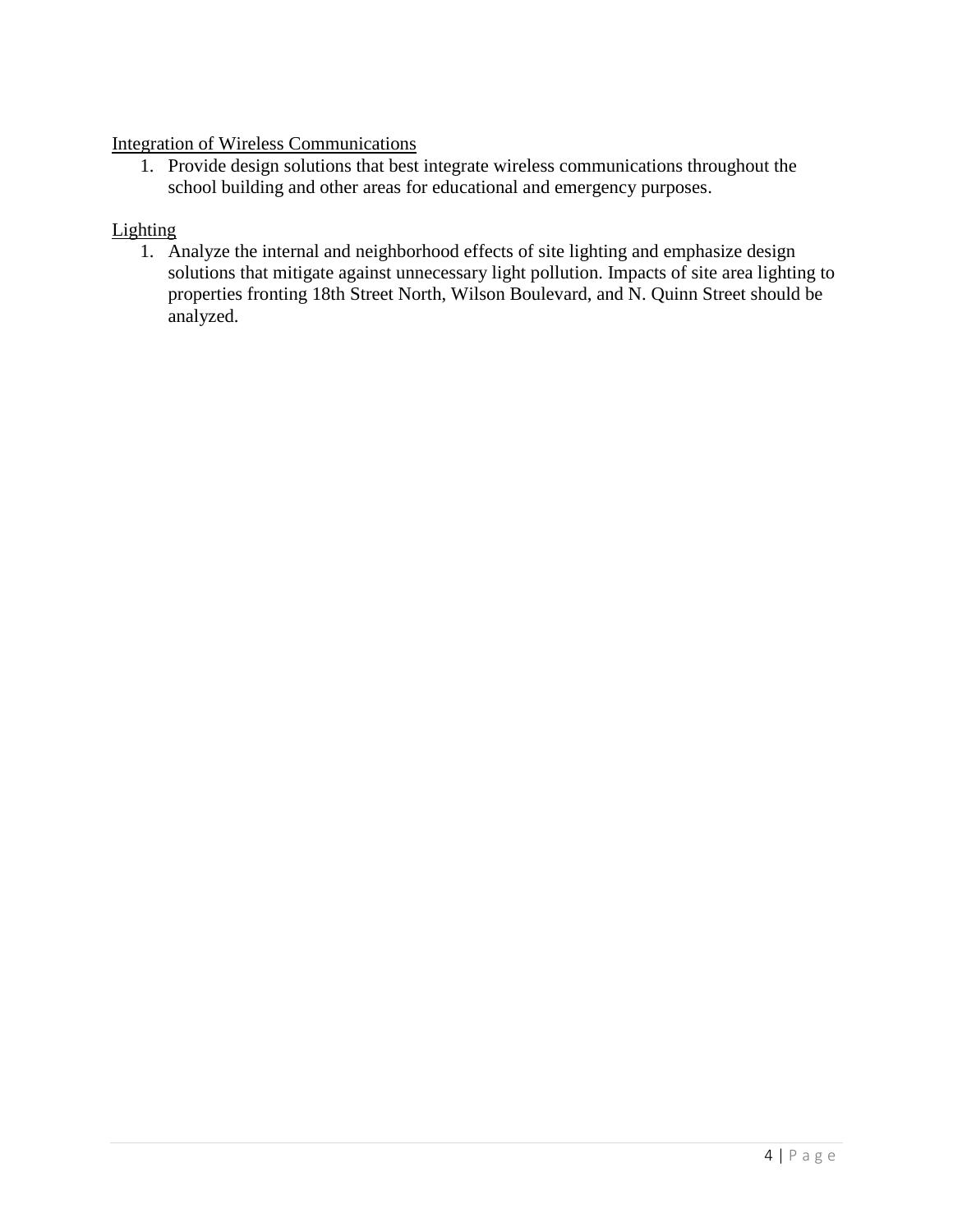## Integration of Wireless Communications

1. Provide design solutions that best integrate wireless communications throughout the school building and other areas for educational and emergency purposes.

#### **Lighting**

1. Analyze the internal and neighborhood effects of site lighting and emphasize design solutions that mitigate against unnecessary light pollution. Impacts of site area lighting to properties fronting 18th Street North, Wilson Boulevard, and N. Quinn Street should be analyzed.